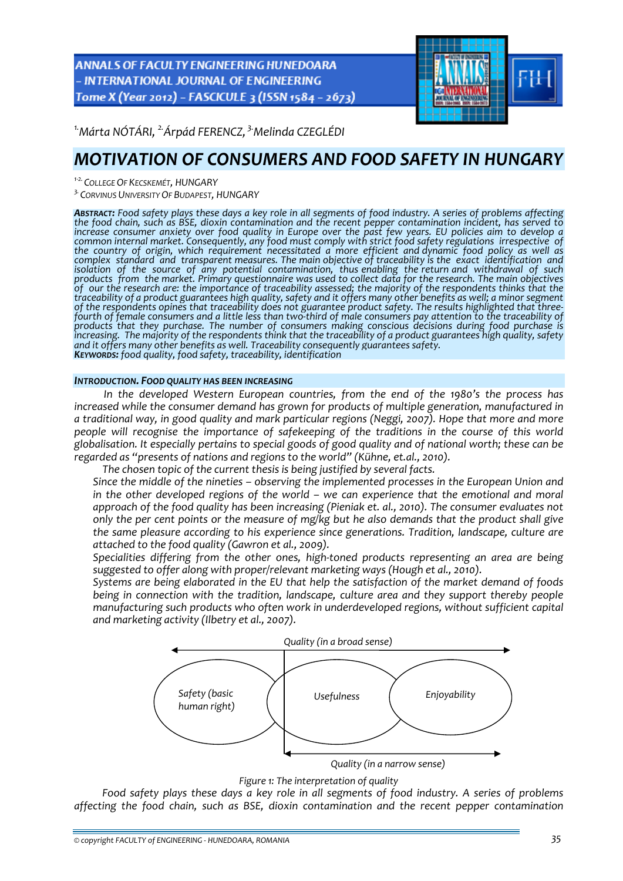ANNALS OF FACULTY ENGINEERING HUNEDOARA - INTERNATIONAL JOURNAL OF ENGINEERING Tome X (Year 2012) - FASCICULE 3 (ISSN 1584 - 2673)



*1.Márta NÓTÁRI, 2.Árpád FERENCZ, 3.Melinda CZEGLÉDI* 

# *MOTIVATION OF CONSUMERS AND FOOD SAFETY IN HUNGARY*

*<sup>1</sup>‐2. COLLEGE OF KECSKEMÉT, HUNGARY*

*3. CORVINUS UNIVERSITY OF BUDAPEST, HUNGARY*

ABSTRACT: Food safety plays these days a key role in all segments of food industry. A series of problems affecting<br>the food chain, such as BSE, dioxin contamination and the recent pepper contamination incident, has served increase consumer anxiety over food quality in Europe over the past few years. EU policies aim to develop a common internal market. Consequently, any food must comply with strict food safety regulations irrespective of<br>the country of origin, which requirement necessitated a more efficient and dynamic food policy as well as<br>compl traceability of a product guarantees high quality, safety and it offers many other benefits as well; a minor segment<br>of the respondents opines that traceability does not guarantee product safety. The results highlighted th increasing. The majority of the respondents think that the traceability of a product guarantees high quality, safety<br>and it offers many other benefits as well. Traceability consequently guarantees safety.<br>**K**EYWORDS: food

## *INTRODUCTION. FOOD QUALITY HAS BEEN INCREASING*

*In the developed Western European countries, from the end of the 1980's the process has increased while the consumer demand has grown for products of multiple generation, manufactured in a traditional way, in good quality and mark particular regions (Neggi, 2007). Hope that more and more people will recognise the importance of safekeeping of the traditions in the course of this world* globalisation. It especially pertains to special goods of good quality and of national worth; these can be *regarded as "presents of nations and regions to the world" (Kühne, et.al., 2010).*

*The chosen topic of the current thesis is being justified by several facts.*

 *Since the middle of the nineties – observing the implemented processes in the European Union and in the other developed regions of the world – we can experience that the emotional and moral approach of the food quality has been increasing (Pieniak et. al., 2010). The consumer evaluates not* only the per cent points or the measure of mg/kg but he also demands that the product shall give *the same pleasure according to his experience since generations. Tradition, landscape, culture are attached to the food quality (Gawron et al., 2009).* 

 *Specialities differing from the other ones, high‐toned products representing an area are being suggested to offer along with proper/relevant marketing ways (Hough et al., 2010).* 

 *Systems are being elaborated in the EU that help the satisfaction of the market demand of foods being in connection with the tradition, landscape, culture area and they support thereby people manufacturing such products who often work in underdeveloped regions, without sufficient capital and marketing activity (Ilbetry et al., 2007).* 



#### *Figure 1: The interpretation of quality*

*Food safety plays these days a key role in all segments of food industry. A series of problems affecting the food chain, such as BSE, dioxin contamination and the recent pepper contamination*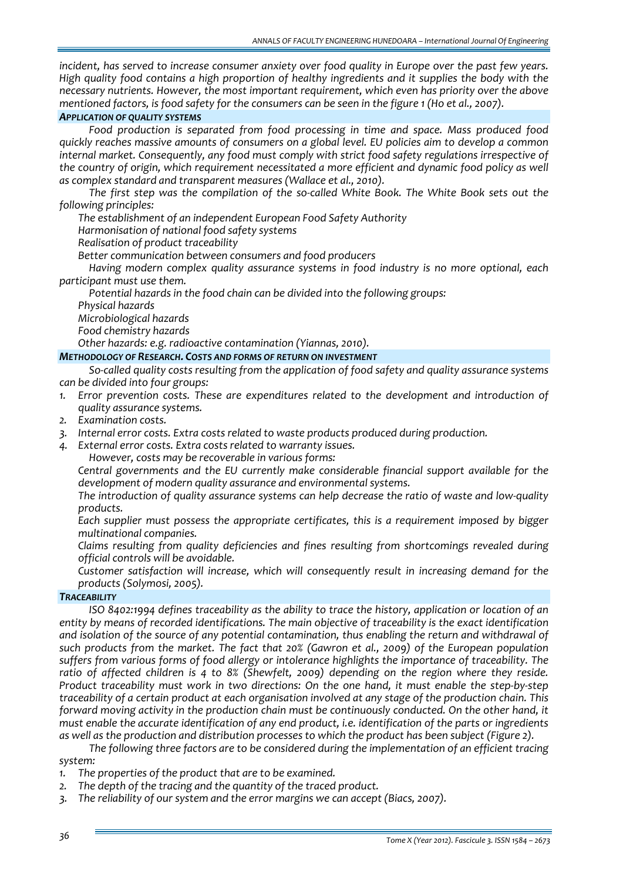*incident, has served to increase consumer anxiety over food quality in Europe over the past few years. High quality food contains a high proportion of healthy ingredients and it supplies the body with the necessary nutrients. However, the most important requirement, which even has priority over the above* mentioned factors, is food safety for the consumers can be seen in the figure 1 (Ho et al., 2007).

## *APPLICATION OF QUALITY SYSTEMS*

*Food production is separated from food processing in time and space. Mass produced food quickly reaches massive amounts of consumers on a global level. EU policies aim to develop a common internal market. Consequently, any food must comply with strict food safety regulations irrespective of the country of origin, which requirement necessitated a more efficient and dynamic food policy as well as complex standard and transparent measures (Wallace et al., 2010).*

*The first step was the compilation of the so‐called White Book. The White Book sets out the following principles:*

*The establishment of an independent European Food Safety Authority*

*Harmonisation of national food safety systems*

*Realisation of product traceability*

*Better communication between consumers and food producers*

*Having modern complex quality assurance systems in food industry is no more optional, each participant must use them.*

*Potential hazards in the food chain can be divided into the following groups:*

*Physical hazards*

*Microbiological hazards*

*Food chemistry hazards*

*Other hazards: e.g. radioactive contamination (Yiannas, 2010).*

## *METHODOLOGY OF RESEARCH. COSTS AND FORMS OF RETURN ON INVESTMENT*

*So‐called quality costs resulting from the application of food safety and quality assurance systems can be divided into four groups:*

- *1. Error prevention costs. These are expenditures related to the development and introduction of quality assurance systems.*
- *2. Examination costs.*
- *3. Internal error costs. Extra costs related to waste products produced during production.*
- *4. External error costs. Extra costs related to warranty issues.*

*However, costs may be recoverable in various forms:*

 *Central governments and the EU currently make considerable financial support available for the development of modern quality assurance and environmental systems.* 

 *The introduction of quality assurance systems can help decrease the ratio of waste and low‐quality products.*

 *Each supplier must possess the appropriate certificates, this is a requirement imposed by bigger multinational companies.*

 *Claims resulting from quality deficiencies and fines resulting from shortcomings revealed during official controls will be avoidable.*

 *Customer satisfaction will increase, which will consequently result in increasing demand for the products (Solymosi, 2005).*

#### *TRACEABILITY*

*ISO 8402:1994 defines traceability as the ability to trace the history, application or location of an entity by means of recorded identifications. The main objective of traceability is the exact identification and isolation of the source of any potential contamination, thus enabling the return and withdrawal of such products from the market. The fact that 20% (Gawron et al., 2009) of the European population suffers from various forms of food allergy or intolerance highlights the importance of traceability. The ratio of affected children is 4 to 8% (Shewfelt, 2009) depending on the region where they reside.* Product traceability must work in two directions: On the one hand, it must enable the step-by-step traceability of a certain product at each organisation involved at any stage of the production chain. This *forward moving activity in the production chain must be continuously conducted. On the other hand, it must enable the accurate identification of any end product, i.e. identification of the parts or ingredients* as well as the production and distribution processes to which the product has been subject (Figure 2).

*The following three factors are to be considered during the implementation of an efficient tracing system:*

- *1. The properties of the product that are to be examined.*
- *2. The depth of the tracing and the quantity of the traced product.*
- *3. The reliability of our system and the error margins we can accept (Biacs, 2007).*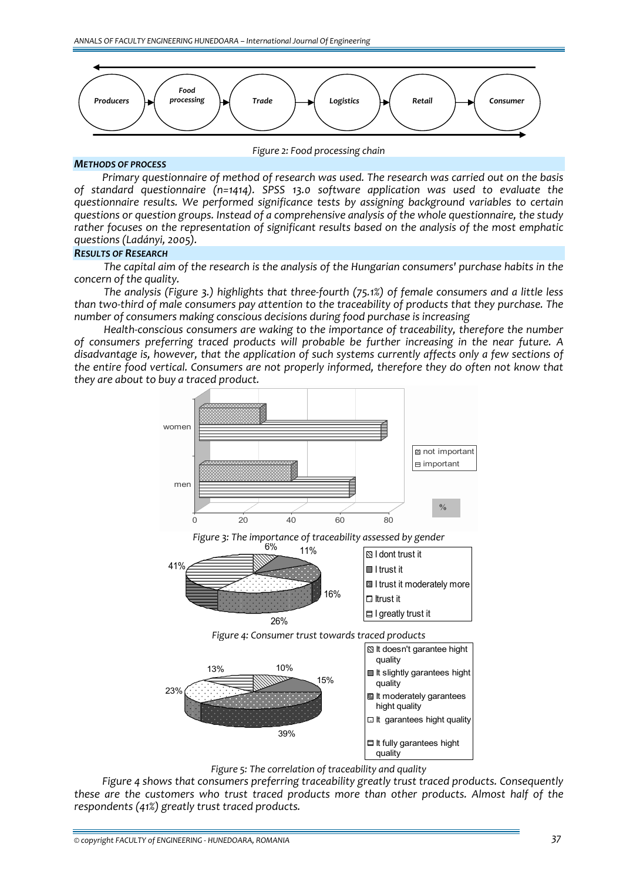

*Figure 2: Food processing chain*

#### *METHODS OF PROCESS*

*Primary questionnaire of method of research was used. The research was carried out on the basis of standard questionnaire (n=1414). SPSS 13.0 software application was used to evaluate the questionnaire results. We performed significance tests by assigning background variables to certain questions or question groups. Instead of a comprehensive analysis of the whole questionnaire, the study rather focuses on the representation of significant results based on the analysis of the most emphatic questions (Ladányi, 2005).*

#### *RESULTS OF RESEARCH*

*The capital aim of the research is the analysis of the Hungarian consumers' purchase habits in the concern of the quality.*

*The analysis (Figure 3.) highlights that three‐fourth (75.1%) of female consumers and a little less* than two-third of male consumers pay attention to the traceability of products that they purchase. The *number of consumers making conscious decisions during food purchase is increasing*

*Health‐conscious consumers are waking to the importance of traceability, therefore the number of consumers preferring traced products will probable be further increasing in the near future. A disadvantage is, however, that the application of such systems currently affects only a few sections of the entire food vertical. Consumers are not properly informed, therefore they do often not know that they are about to buy a traced product.* 



*Figure 5: The correlation of traceability and quality*

*Figure 4 shows that consumers preferring traceability greatly trust traced products. Consequently these are the customers who trust traced products more than other products. Almost half of the respondents (41%) greatly trust traced products.*